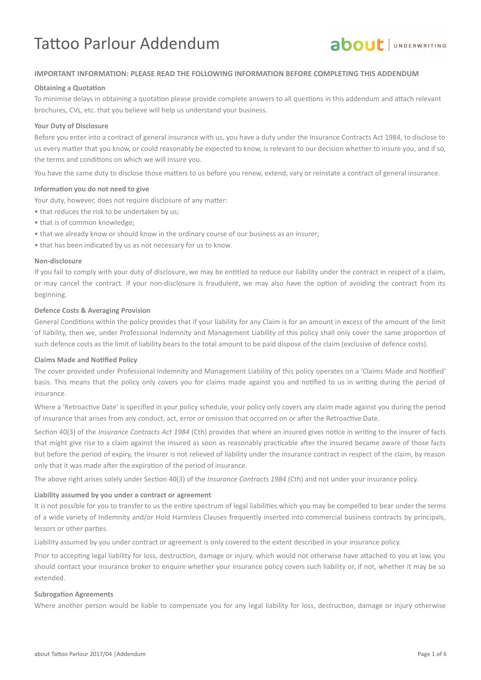# Tattoo Parlour Addendum



#### **IMPORTANT INFORMATION: PLEASE READ THE FOLLOWING INFORMATION BEFORE COMPLETING THIS ADDENDUM**

#### **Obtaining a Quotation**

To minimise delays in obtaining a quotation please provide complete answers to all questions in this addendum and attach relevant brochures, CVs, etc. that you believe will help us understand your business.

#### **Your Duty of Disclosure**

Before you enter into a contract of general insurance with us, you have a duty under the Insurance Contracts Act 1984, to disclose to us every mater that you know, or could reasonably be expected to know, is relevant to our decision whether to insure you, and if so, the terms and conditons on which we will insure you.

You have the same duty to disclose those matters to us before you renew, extend, vary or reinstate a contract of general insurance.

#### **Information you do not need to give**

Your duty, however, does not require disclosure of any matter:

- that reduces the risk to be undertaken by us;
- that is of common knowledge;
- that we already know or should know in the ordinary course of our business as an insurer;
- that has been indicated by us as not necessary for us to know.

#### **Non-disclosure**

If you fail to comply with your duty of disclosure, we may be enttled to reduce our liability under the contract in respect of a claim, or may cancel the contract. If your non-disclosure is fraudulent, we may also have the opton of avoiding the contract from its beginning.

#### **Defence Costs & Averaging Provision**

General Conditons within the policy provides that if your liability for any Claim is for an amount in excess of the amount of the limit of liability, then we, under Professional Indemnity and Management Liability of this policy shall only cover the same proporton of such defence costs as the limit of liability bears to the total amount to be paid dispose of the claim (exclusive of defence costs).

#### **Claims Made and Notified Policy**

The cover provided under Professional Indemnity and Management Liability of this policy operates on a 'Claims Made and Notified' basis. This means that the policy only covers you for claims made against you and notified to us in writing during the period of insurance.

Where a 'Retroactive Date' is specified in your policy schedule, your policy only covers any claim made against you during the period of insurance that arises from any conduct, act, error or omission that occurred on or afer the Retroactve Date.

Section 40(3) of the *Insurance Contracts Act 1984* (Cth) provides that where an insured gives notice in writing to the insurer of facts that might give rise to a claim against the insured as soon as reasonably practicable after the insured became aware of those facts but before the period of expiry, the insurer is not relieved of liability under the insurance contract in respect of the claim, by reason only that it was made after the expiration of the period of insurance.

The above right arises solely under Secton 40(3)) of the *Insurance Contracts 1984* (Cth) and not under your insurance policy.

#### **Liability assumed by you under a contract or agreement**

It is not possible for you to transfer to us the entre spectrum of legal liabilites which you may be compelled to bear under the terms of a wide variety of Indemnity and/or Hold Harmless Clauses frequently inserted into commercial business contracts by principals, lessors or other parties.

Liability assumed by you under contract or agreement is only covered to the extent described in your insurance policy.

Prior to accepting legal liability for loss, destruction, damage or injury, which would not otherwise have attached to you at law, you should contact your insurance broker to enquire whether your insurance policy covers such liability or, if not, whether it may be so extended.

#### **Subrogation Agreements**

Where another person would be liable to compensate you for any legal liability for loss, destruction, damage or injury otherwise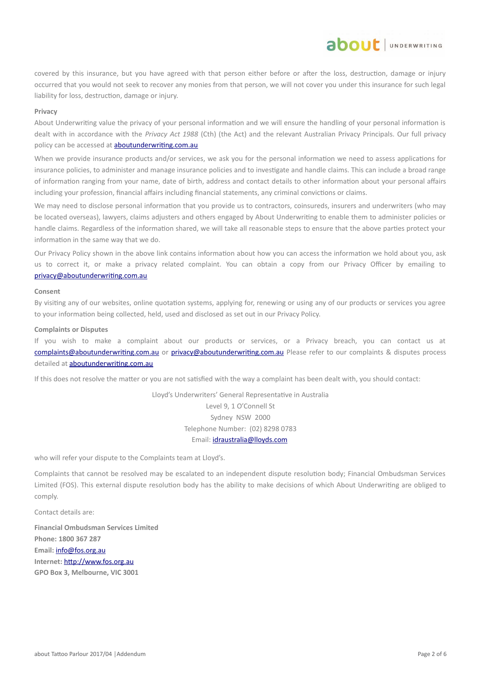covered by this insurance, but you have agreed with that person either before or after the loss, destruction, damage or injury occurred that you would not seek to recover any monies from that person, we will not cover you under this insurance for such legal liability for loss, destruction, damage or injury.

about JUNDERWRITING

#### **Privacy**

About Underwriting value the privacy of your personal information and we will ensure the handling of your personal information is dealt with in accordance with the *Privacy Act 1988* (Cth) (the Act) and the relevant Australian Privacy Principals. Our full privacy policy can be accessed at **aboutunderwriting.com.au** 

When we provide insurance products and/or services, we ask you for the personal information we need to assess applications for insurance policies, to administer and manage insurance policies and to investgate and handle claims. This can include a broad range of information ranging from your name, date of birth, address and contact details to other information about your personal affairs including your profession, financial affairs including financial statements, any criminal convictions or claims.

We may need to disclose personal information that you provide us to contractors, coinsureds, insurers and underwriters (who may be located overseas), lawyers, claims adjusters and others engaged by About Underwriting to enable them to administer policies or handle claims. Regardless of the information shared, we will take all reasonable steps to ensure that the above parties protect your information in the same way that we do.

Our Privacy Policy shown in the above link contains information about how you can access the information we hold about you, ask us to correct it, or make a privacy related complaint. You can obtain a copy from our Privacy Officer by emailing to [privacy@aboutunderwritng.com.au](mailto:privacy@aboutunderwriting.com.au)

#### **Consent**

By visitng any of our websites, online quotaton systems, applying for, renewing or using any of our products or services you agree to your information being collected, held, used and disclosed as set out in our Privacy Policy.

#### **Complaints or Disputes**

If you wish to make a complaint about our products or services, or a Privacy breach, you can contact us at complaints@aboutunderwriting.com.au or privacy@aboutunderwriting.com.au Please refer to our complaints & disputes process detailed at aboutunderwriting.com.au

If this does not resolve the matter or you are not satisfied with the way a complaint has been dealt with, you should contact:

Lloyd's Underwriters' General Representative in Australia Level 9, 1 O'Connell St Sydney NSW 2000 Telephone Number: (02) 8298 0783 Email: [idraustralia@lloyds.com](mailto:idraustralia@lloyds.com)

who will refer your dispute to the Complaints team at Lloyd's.

Complaints that cannot be resolved may be escalated to an independent dispute resoluton body; Financial Ombudsman Services Limited (FOS). This external dispute resolution body has the ability to make decisions of which About Underwriting are obliged to comply.

Contact details are:

**Financial Ombudsman Services Limited Phone: 1800 367 287 Email:** [info@fos.org.au](mailto:info@fos.org.au) Internet: http://www.fos.org.au **GPO Box 3, Melbourne, VIC 3001**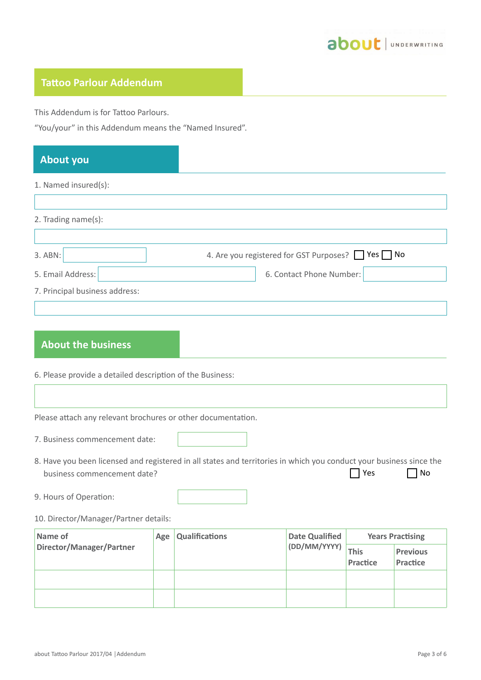

## **Tatoo Parlour Addendum**

This Addendum is for Tattoo Parlours.

"You/your" in this Addendum means the "Named Insured".

# **About you**

 $\overline{1}$ 

#### 1. Named insured(s):

| 2. Trading name(s):            |                                                 |
|--------------------------------|-------------------------------------------------|
|                                |                                                 |
| 3. ABN:                        | 4. Are you registered for GST Purposes? PYes No |
| 5. Email Address:              | 6. Contact Phone Number:                        |
| 7. Principal business address: |                                                 |
|                                |                                                 |

## **About the business**

6. Please provide a detailed description of the Business:

Please attach any relevant brochures or other documentation.

|  |  | 7. Business commencement date: |  |
|--|--|--------------------------------|--|
|--|--|--------------------------------|--|

- 8. Have you been licensed and registered in all states and territories in which you conduct your business since the business commencement date?  $7$  Yes  $7$  No
- 9. Hours of Operation:

#### 10. Director/Manager/Partner details:

| Name of                  | <b>Qualifications</b><br>Age | <b>Date Qualified</b> | <b>Years Practising</b> |             |                 |
|--------------------------|------------------------------|-----------------------|-------------------------|-------------|-----------------|
| Director/Manager/Partner |                              |                       | (DD/MM/YYYY)            | <b>This</b> | <b>Previous</b> |
|                          |                              |                       |                         | Practice    | Practice        |
|                          |                              |                       |                         |             |                 |
|                          |                              |                       |                         |             |                 |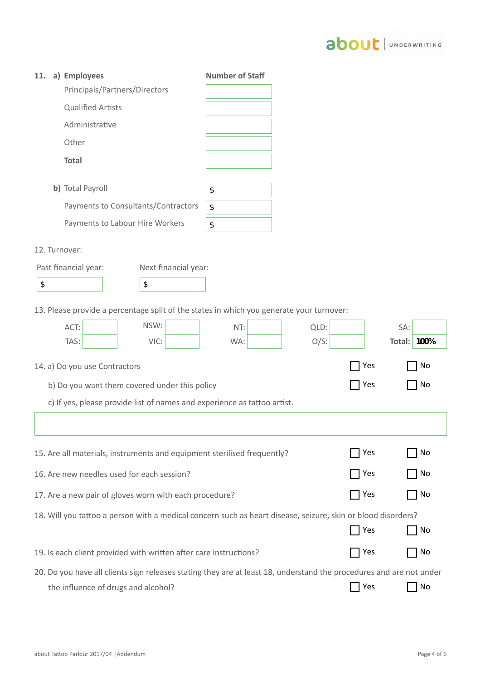

| 11.                           | a) Employees                                                                                                        |                      | <b>Number of Staff</b> |         |     |                    |
|-------------------------------|---------------------------------------------------------------------------------------------------------------------|----------------------|------------------------|---------|-----|--------------------|
| Principals/Partners/Directors |                                                                                                                     |                      |                        |         |     |                    |
|                               | <b>Qualified Artists</b>                                                                                            |                      |                        |         |     |                    |
|                               | Administrative                                                                                                      |                      |                        |         |     |                    |
|                               | Other                                                                                                               |                      |                        |         |     |                    |
|                               | <b>Total</b>                                                                                                        |                      |                        |         |     |                    |
|                               | b) Total Payroll                                                                                                    |                      | \$                     |         |     |                    |
|                               | Payments to Consultants/Contractors                                                                                 |                      | \$                     |         |     |                    |
|                               | Payments to Labour Hire Workers                                                                                     |                      | \$                     |         |     |                    |
| 12. Turnover:                 |                                                                                                                     |                      |                        |         |     |                    |
|                               | Past financial year:                                                                                                | Next financial year: |                        |         |     |                    |
| \$                            |                                                                                                                     | \$                   |                        |         |     |                    |
|                               |                                                                                                                     |                      |                        |         |     |                    |
|                               | 13. Please provide a percentage split of the states in which you generate your turnover:                            |                      |                        |         |     |                    |
|                               | ACT:                                                                                                                | NSW:                 | NT:                    | QLD:    |     | SA:                |
|                               | TAS:                                                                                                                | VIC:                 | WA:                    | $O/S$ : |     | <b>Total: 100%</b> |
|                               | 14. a) Do you use Contractors                                                                                       |                      |                        |         | Yes | No                 |
|                               | b) Do you want them covered under this policy                                                                       |                      |                        |         | Yes | No                 |
|                               | c) If yes, please provide list of names and experience as tattoo artist.                                            |                      |                        |         |     |                    |
|                               |                                                                                                                     |                      |                        |         |     |                    |
|                               | 15. Are all materials, instruments and equipment sterilised frequently?                                             |                      |                        |         | Yes | No                 |
|                               | 16. Are new needles used for each session?                                                                          |                      |                        |         | Yes | No                 |
|                               | 17. Are a new pair of gloves worn with each procedure?                                                              |                      |                        |         | Yes | No                 |
|                               | 18. Will you tattoo a person with a medical concern such as heart disease, seizure, skin or blood disorders?        |                      |                        |         |     |                    |
|                               |                                                                                                                     |                      |                        |         | Yes | No                 |
|                               | 19. Is each client provided with written after care instructions?                                                   |                      |                        |         | Yes | No                 |
|                               | 20. Do you have all clients sign releases stating they are at least 18, understand the procedures and are not under |                      |                        |         |     |                    |
|                               | the influence of drugs and alcohol?                                                                                 |                      |                        |         | Yes | No                 |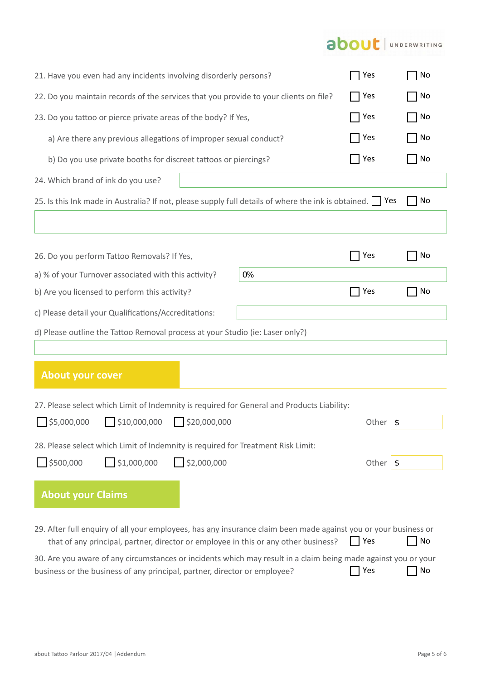# about | UNDERWRITING

| 21. Have you even had any incidents involving disorderly persons?                                                                                                                                      | TYes             | No       |
|--------------------------------------------------------------------------------------------------------------------------------------------------------------------------------------------------------|------------------|----------|
| 22. Do you maintain records of the services that you provide to your clients on file?                                                                                                                  | <b>Pres</b>      | No<br>No |
| 23. Do you tattoo or pierce private areas of the body? If Yes,                                                                                                                                         | Yes              |          |
| a) Are there any previous allegations of improper sexual conduct?                                                                                                                                      | Yes              | No       |
| b) Do you use private booths for discreet tattoos or piercings?                                                                                                                                        | 7 Yes            | No       |
| 24. Which brand of ink do you use?                                                                                                                                                                     |                  |          |
| 25. Is this Ink made in Australia? If not, please supply full details of where the ink is obtained. Pes                                                                                                |                  | No       |
|                                                                                                                                                                                                        |                  |          |
| 26. Do you perform Tattoo Removals? If Yes,                                                                                                                                                            | Yes              | No       |
| 0%<br>a) % of your Turnover associated with this activity?                                                                                                                                             |                  |          |
| b) Are you licensed to perform this activity?                                                                                                                                                          | 7 Yes            | No       |
| c) Please detail your Qualifications/Accreditations:                                                                                                                                                   |                  |          |
| d) Please outline the Tattoo Removal process at your Studio (ie: Laser only?)                                                                                                                          |                  |          |
|                                                                                                                                                                                                        |                  |          |
| <b>About your cover</b>                                                                                                                                                                                |                  |          |
| 27. Please select which Limit of Indemnity is required for General and Products Liability:                                                                                                             |                  |          |
| \$5,000,000<br>510,000,000<br>$\frac{1}{2}$ \$20,000,000                                                                                                                                               | Other            | \$       |
| 28. Please select which Limit of Indemnity is required for Treatment Risk Limit:                                                                                                                       |                  |          |
| \$1,000,000<br>\$2,000,000<br>\$500,000                                                                                                                                                                | Other $\sqrt{s}$ |          |
| <b>About your Claims</b>                                                                                                                                                                               |                  |          |
| 29. After full enquiry of all your employees, has any insurance claim been made against you or your business or<br>that of any principal, partner, director or employee in this or any other business? | Yes              | No       |
| 30. Are you aware of any circumstances or incidents which may result in a claim being made against you or your<br>business or the business of any principal, partner, director or employee?            | Yes              | No       |